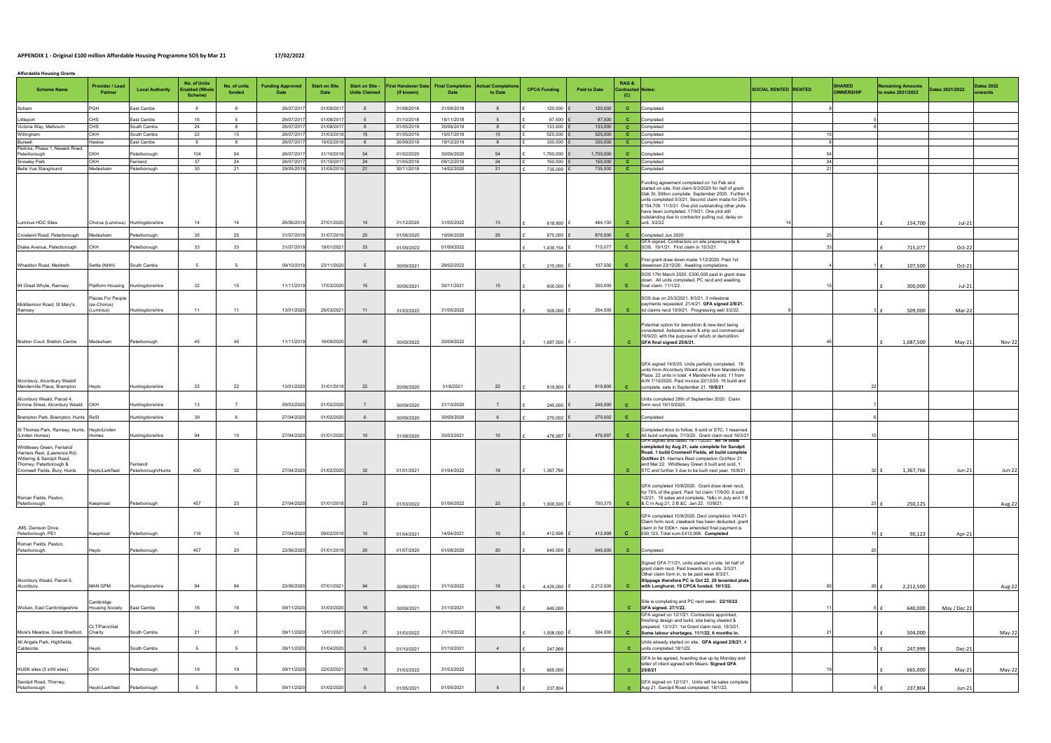## APPENDIX 1 - Original £100 million Affordable Housing Programme SOS by Mar 21

| 17/02/2022 |
|------------|
|------------|

| <b>Affordable Housing Grants</b>                                                                                                                   |                                                                                                                                                                                                                                                                                                                                                                                                                                                                                                                                                                              |                                  |                                          |                        |                         |                              |                                                |                                          |                                 |                                     |                      |                      |                                         |                                                                                                                                                                                                                                                                                                                                                                                                   |                             |      |                                   |                                               |                 |                             |  |
|----------------------------------------------------------------------------------------------------------------------------------------------------|------------------------------------------------------------------------------------------------------------------------------------------------------------------------------------------------------------------------------------------------------------------------------------------------------------------------------------------------------------------------------------------------------------------------------------------------------------------------------------------------------------------------------------------------------------------------------|----------------------------------|------------------------------------------|------------------------|-------------------------|------------------------------|------------------------------------------------|------------------------------------------|---------------------------------|-------------------------------------|----------------------|----------------------|-----------------------------------------|---------------------------------------------------------------------------------------------------------------------------------------------------------------------------------------------------------------------------------------------------------------------------------------------------------------------------------------------------------------------------------------------------|-----------------------------|------|-----------------------------------|-----------------------------------------------|-----------------|-----------------------------|--|
| <b>Scheme Name</b>                                                                                                                                 | Provider / Lead<br>Partner                                                                                                                                                                                                                                                                                                                                                                                                                                                                                                                                                   | <b>Local Authority</b>           | No. of Units<br>nabled (Whole<br>Scheme) | No. of units<br>funded | <b>Funding Approved</b> | <b>Start on Site</b><br>Date | <b>Start on Site -</b><br><b>Units Claimed</b> | <b>First Handover Date</b><br>(if known) | <b>Final Completion</b><br>Date | <b>Actual Completion</b><br>to Date | <b>CPCA Funding</b>  | <b>Paid to Date</b>  | RAG &<br><b>Contracted Notes</b><br>(C) |                                                                                                                                                                                                                                                                                                                                                                                                   | <b>SOCIAL RENTED RENTED</b> |      | <b>SHARED</b><br><b>OWNERSHIP</b> | <b>Remaining Amounts</b><br>to make 2021/2022 | Dates 2021/2022 | <b>Dates 2022</b><br>nwards |  |
| Soham                                                                                                                                              | PGH                                                                                                                                                                                                                                                                                                                                                                                                                                                                                                                                                                          | East Cambs                       |                                          | - 8                    | 26/07/201               | 01/09/201                    |                                                | 31/08/2018                               | 31/08/2018                      | -8                                  | 120,000              | 120,000              | <b>C</b>                                | Completed                                                                                                                                                                                                                                                                                                                                                                                         |                             |      |                                   |                                               |                 |                             |  |
| Littleport                                                                                                                                         | CHS                                                                                                                                                                                                                                                                                                                                                                                                                                                                                                                                                                          | ast Cambs                        | 16                                       |                        | 26/07/201               | 01/08/201                    | 5 <sup>5</sup>                                 | 31/10/2018                               | 18/11/2018                      | 5                                   | 97,500               | 97,500               | c                                       | Completed                                                                                                                                                                                                                                                                                                                                                                                         |                             |      |                                   |                                               |                 |                             |  |
| Victoria Way, Melbourn                                                                                                                             | CHS                                                                                                                                                                                                                                                                                                                                                                                                                                                                                                                                                                          | South Cambs                      | 24                                       | - 8                    | 26/07/201               | 01/08/201                    | 8                                              | 01/05/2019                               | 30/06/2019                      | 8                                   | 133,000              | 133,000              | $\mathbf{C}$                            | Completed                                                                                                                                                                                                                                                                                                                                                                                         |                             |      |                                   |                                               |                 |                             |  |
| Willingham<br>Burwell                                                                                                                              | <b>CKH</b><br><b>Hastoe</b>                                                                                                                                                                                                                                                                                                                                                                                                                                                                                                                                                  | South Cambs<br>East Cambs        | 22<br>8                                  | 15<br>8                | 26/07/201<br>26/07/201  | 31/03/201<br>15/02/2018      | 15<br>8                                        | 01/05/2019<br>30/09/2019                 | 15/07/2019<br>19/12/2019        | 15<br>8                             | 525,000<br>330,000   | 525,000<br>330,000   | c<br><b>C</b>                           | Completed<br>Completed                                                                                                                                                                                                                                                                                                                                                                            |                             |      |                                   |                                               |                 |                             |  |
| Perkins, Phase 1, Newark Road,                                                                                                                     |                                                                                                                                                                                                                                                                                                                                                                                                                                                                                                                                                                              |                                  |                                          |                        |                         |                              |                                                |                                          |                                 |                                     |                      |                      |                                         |                                                                                                                                                                                                                                                                                                                                                                                                   |                             |      |                                   |                                               |                 |                             |  |
| Peterborough<br>Snowley Park                                                                                                                       | СКН<br><b>CKH</b>                                                                                                                                                                                                                                                                                                                                                                                                                                                                                                                                                            | Peterborough<br>Fenland          | 104<br>37                                | 54<br>24               | 26/07/201<br>26/07/201  | 31/10/201<br>01/10/201       | 54<br>24                                       | 01/02/2020<br>31/05/2019                 | 30/06/2020<br>09/12/2019        | 54<br>24                            | 1,700,000<br>150,000 | 1,700,000<br>150,000 | c<br><b>C</b>                           | Completed<br>Completed                                                                                                                                                                                                                                                                                                                                                                            |                             | - 24 |                                   |                                               |                 |                             |  |
| Belle Vue Stanground                                                                                                                               | Medesham                                                                                                                                                                                                                                                                                                                                                                                                                                                                                                                                                                     | Peterborough                     | 30                                       | 21                     | 29/05/201               | 31/05/201                    | 21                                             | 30/11/2019                               | 14/02/2020                      | 21                                  | 735,000              | 735,000              | <b>C</b>                                | Completed                                                                                                                                                                                                                                                                                                                                                                                         |                             | 21   |                                   |                                               |                 |                             |  |
| Luminus HDC Sites                                                                                                                                  |                                                                                                                                                                                                                                                                                                                                                                                                                                                                                                                                                                              | Chorus (Luminus) Huntingdonshire | 14                                       | 14                     | 26/06/201               | 27/01/2020                   | 14                                             | 31/12/2020                               | 31/05/2022                      | 13                                  |                      | 464,100              | <b>C</b>                                | Funding agreement completed on 1st Feb and<br>started on site, first claim 6/3/2020 for half of grant.<br>Oak St, Stilton complete September 2020. Further 4<br>units completed 5/3/21. Second claim made for 25% -<br>£154,700. 11/3/21. One plot outstanding other plots<br>have been completed. 17/9/21. One plot still<br>outstanding due to contractor pulling out, delay on<br>unit. 3/2/22 |                             |      |                                   |                                               |                 |                             |  |
|                                                                                                                                                    |                                                                                                                                                                                                                                                                                                                                                                                                                                                                                                                                                                              |                                  |                                          |                        |                         |                              |                                                |                                          |                                 |                                     | 618,800              |                      |                                         |                                                                                                                                                                                                                                                                                                                                                                                                   |                             |      |                                   | 154,700                                       | $Jul-21$        |                             |  |
| Crowland Road, Peterborough                                                                                                                        | Medesham                                                                                                                                                                                                                                                                                                                                                                                                                                                                                                                                                                     | Peterborough                     | 35                                       | 25                     | 31/07/201               | 31/07/201                    | 25                                             | 01/06/2020                               | 19/06/2020                      | 25                                  | 875,000              | 875,000              | <b>C</b>                                | Completed Jun 2020<br>GFA signed. Contractors on site preparing site &                                                                                                                                                                                                                                                                                                                            |                             |      |                                   |                                               |                 |                             |  |
| Drake Avenue, Peterborough                                                                                                                         | <b>CKH</b>                                                                                                                                                                                                                                                                                                                                                                                                                                                                                                                                                                   | <sup>2</sup> eterborough         | 33                                       | 33                     | 31/07/201               | 19/01/2021                   | 33                                             | 01/09/2022                               | 01/09/2022                      |                                     | 1,430,154            | 715,077              | <b>C</b>                                | SOS. 19/1/21. First claim in 15/3/21.                                                                                                                                                                                                                                                                                                                                                             |                             |      |                                   | 715,077                                       | Oct-22          |                             |  |
| Whaddon Road, Meldreth                                                                                                                             | Settle (NHH)                                                                                                                                                                                                                                                                                                                                                                                                                                                                                                                                                                 | South Cambs                      |                                          |                        | 09/10/201               | 23/11/2020                   | -5                                             | 30/09/2021                               | 28/02/2022                      |                                     | 215,000              | 107,500              | <b>C</b>                                | First grant draw down made 1/12/2020. Paid 1st<br>drawdown 23/12/20. Awaiting completions.                                                                                                                                                                                                                                                                                                        |                             |      |                                   | 107,500                                       | $Oct-21$        |                             |  |
|                                                                                                                                                    |                                                                                                                                                                                                                                                                                                                                                                                                                                                                                                                                                                              |                                  |                                          |                        |                         |                              |                                                |                                          |                                 |                                     |                      |                      |                                         | SOS 17th March 2020. £300,000 paid in grant draw<br>down. All units completed. PC recd and awaiting                                                                                                                                                                                                                                                                                               |                             |      |                                   |                                               |                 |                             |  |
| 94 Great Whyte, Ramsey                                                                                                                             |                                                                                                                                                                                                                                                                                                                                                                                                                                                                                                                                                                              | Platform Housing Huntingdonshire | 32                                       | 15                     | 11/11/2019              | 17/03/2020                   | 15                                             | 30/06/2021                               | 30/11/2021                      | 15                                  | 600,000              | 300,000              | <b>C</b>                                | final claim. 11/1/22.                                                                                                                                                                                                                                                                                                                                                                             |                             |      |                                   | 300,000                                       | $Jul-21$        |                             |  |
| Middlemoor Road, St Mary's,<br>Ramsey                                                                                                              | Places For People<br>(ex-Chorus)<br>Luminus)                                                                                                                                                                                                                                                                                                                                                                                                                                                                                                                                 | Huntingdonshire                  | 11                                       | 11                     | 13/01/2020              | 25/03/2021                   | 11                                             | 31/03/2022                               | 31/05/2022                      |                                     | 509,000              | 254,500              | <b>C</b>                                | SOS due on 25/3/2021, 8/3/21, 3 milestone<br>payments requested. 21/4/21. GFA signed 2/8/21.<br>Ist claims recd 10/9/21. Progressing well 3/2/22.                                                                                                                                                                                                                                                 |                             |      |                                   | 509,000                                       | Mar-22          |                             |  |
| Bretton Court, Bretton Centre                                                                                                                      | Medesham                                                                                                                                                                                                                                                                                                                                                                                                                                                                                                                                                                     | Peterborough                     | 45                                       | 45                     | 11/11/2019              | 16/09/2020                   | 45                                             | 30/09/2022                               | 30/09/2022                      |                                     | $1,687,500$ £ -      |                      | C.                                      | Potential option for demolition & new devt being<br>considered. Asbestos work & strip out commenced<br>16/9/20, with the purpose of refurb or demolition.<br>GFA final signed 25/8/21.                                                                                                                                                                                                            |                             |      |                                   | 1,687,500                                     | $May-21$        | <b>Nov-22</b>               |  |
| Alconbury, Alconbury Weald/<br>Manderville Place, Brampton                                                                                         | Heylo                                                                                                                                                                                                                                                                                                                                                                                                                                                                                                                                                                        | Huntingdonshire                  | 22                                       | 22                     | 13/01/2020              | 31/01/2018                   | 22                                             | 20/06/2020                               | 31/6/2021                       | 22                                  | 819,800              | 819,800              | <b>C</b>                                | GFA signed 14/5/20. Units partially completed. 18<br>units from Alconbury Weald and 4 from Manderville<br>Place. 22 units in total. 4 Manderville sold, 11 from<br>A/W 7/10/2020. Paid invoice 22/12/20. 16 build and<br>complete, sale in September 21. 10/8/21                                                                                                                                  |                             |      |                                   |                                               |                 |                             |  |
| Alconbury Weald, Parcel 4,<br>Ermine Street, Alconbury Weald. CKH                                                                                  |                                                                                                                                                                                                                                                                                                                                                                                                                                                                                                                                                                              | Huntingdonshire                  | 13                                       | - 7                    | 09/03/202               | 01/02/2020                   | $\overline{7}$                                 | 30/09/2020                               | 31/10/2020                      | $\overline{7}$                      | 245,000              | 245,000              | <b>C</b>                                | Units completed 28th of September 2020. Claim<br>form recd 19/10/2020.                                                                                                                                                                                                                                                                                                                            |                             |      |                                   |                                               |                 |                             |  |
| Brampton Park, Brampton, Hunts ReSI                                                                                                                |                                                                                                                                                                                                                                                                                                                                                                                                                                                                                                                                                                              | Huntingdonshire                  | 39                                       |                        | 27/04/2020              | 01/02/2020                   | 6                                              | 30/09/2020                               | 30/09/2020                      | -6                                  | 270,002              | 270,002              | <b>C</b>                                | Completed                                                                                                                                                                                                                                                                                                                                                                                         |                             |      |                                   |                                               |                 |                             |  |
| St Thomas Park, Ramsey, Hunts. Heylo/Linden<br>(Linden Homes)                                                                                      | Homes                                                                                                                                                                                                                                                                                                                                                                                                                                                                                                                                                                        | Huntingdonshire                  | 94                                       | 10                     | 27/04/2020              | 01/01/2020                   | 10                                             | 31/08/2020                               | 30/03/2021                      | 10                                  | 476,997              | 476,997              | <b>C</b>                                | Completed docs to follow, 9 sold or STC, 1 reserved.<br>All build complete. 7/10/20. Grant claim recd 16/3/21                                                                                                                                                                                                                                                                                     |                             |      |                                   |                                               |                 |                             |  |
| Whittlesey Green, Fenland/<br>Harriers Rest, (Lawrence Rd)<br>Wittering & Sandpit Road,<br>Thorney, Peterborough &<br>Cromwell Fields, Bury, Hunts | Heylo/Larkfleet                                                                                                                                                                                                                                                                                                                                                                                                                                                                                                                                                              | Fenland/<br>Peterborough/Hunts   | 430                                      | 32                     | 27/04/2020              | 01/02/2020                   | 32                                             | 01/01/2021                               | 01/04/2022                      | 19                                  | 1,367,766            |                      | $\mathbf{C}$                            | r A signed and dated 19/11/2020. All 14 units<br>completed by Aug 21, sale complete for Sandpit<br>Road. 1 build Cromwell Fields, all build complete<br>Oct/Nov 21. Harriers Rest completion Oct/Nov 21<br>and Mar 22. Whittlesey Green 6 built and sold, 1<br>STC and further 3 due to be built next year. 10/8/21                                                                               |                             |      |                                   | 32 f<br>1,367,766                             | Jun-21          | <b>Jun-22</b>               |  |
| Roman Fields, Paston,<br>Peterborough.                                                                                                             | <eepmoat< td=""><td>Peterborough</td><td>457</td><td>23</td><td>27/04/2020</td><td>01/01/2018</td><td>23</td><td>01/03/2022</td><td>01/06/2022</td><td>23</td><td>1,000,500</td><td>750,375</td><td><math>\mathbf{C}</math></td><td>GFA completed 10/8/2020. Grant draw down recd,<br/>for 75% of the grant. Paid 1st claim 17/9/20. 6 sold<br/>1/2/21. 19 sales and complete, 1b&amp;c in July and 1 B<br/>&amp; C in Aug 21, 2 B &amp; C Jan 22. 10/8/21.</td><td></td><td></td><td></td><td><math>23 \text{ f}</math><br/>250,125</td><td></td><td>Aug-22</td></eepmoat<> | Peterborough                     | 457                                      | 23                     | 27/04/2020              | 01/01/2018                   | 23                                             | 01/03/2022                               | 01/06/2022                      | 23                                  | 1,000,500            | 750,375              | $\mathbf{C}$                            | GFA completed 10/8/2020. Grant draw down recd,<br>for 75% of the grant. Paid 1st claim 17/9/20. 6 sold<br>1/2/21. 19 sales and complete, 1b&c in July and 1 B<br>& C in Aug 21, 2 B & C Jan 22. 10/8/21.                                                                                                                                                                                          |                             |      |                                   | $23 \text{ f}$<br>250,125                     |                 | Aug-22                      |  |
|                                                                                                                                                    |                                                                                                                                                                                                                                                                                                                                                                                                                                                                                                                                                                              |                                  |                                          |                        |                         |                              |                                                |                                          |                                 |                                     |                      |                      |                                         | GFA completed 10/8/2020. Devt completion 14/4/21.                                                                                                                                                                                                                                                                                                                                                 |                             |      |                                   |                                               |                 |                             |  |
| JMS, Damson Drive,<br>Peterborough, PE1                                                                                                            | Keepmoat                                                                                                                                                                                                                                                                                                                                                                                                                                                                                                                                                                     | Peterborough                     | 116                                      | 10                     | 27/04/2020              | 09/02/2018                   | 10                                             | 01/04/2021                               | 14/04/2021                      | 10                                  | 412,998              | 412,998              | <b>C</b>                                | Claim form recd, clawback has been deducted, grant<br>claim in for £90k+, new amended final payment is<br>£90,123. Total sum £412,998. Completed                                                                                                                                                                                                                                                  |                             |      |                                   | 90,123<br>$10 \text{ f}$                      | Apr-21          |                             |  |
| Roman Fields, Paston,<br>Peterborough.                                                                                                             | Heylo                                                                                                                                                                                                                                                                                                                                                                                                                                                                                                                                                                        | Peterborough                     | 457                                      | 20                     | 22/06/2020              | 01/01/2018                   | 20                                             | 01/07/2020                               | 01/08/2020                      | 20 <sub>2</sub>                     | 645,000              | 645,000              | $\mathbf{C}$                            | Completed                                                                                                                                                                                                                                                                                                                                                                                         |                             |      |                                   |                                               |                 |                             |  |
| Alconbury Weald, Parcel 6,<br>Alconbury.                                                                                                           | <b>MAN GPM</b>                                                                                                                                                                                                                                                                                                                                                                                                                                                                                                                                                               | Huntingdonshire                  | 94                                       | 94                     | 22/06/2020              | 07/01/2021                   | 94                                             | 30/06/2021                               | 31/10/2022                      | 19                                  | 4,425,000            | 2,212,500            | $\mathbf{C}$                            | Signed GFA 7/1/21, units started on site. Ist half of<br>grant claim recd. Paid towards s/o units. 3/3/21.<br>Other claim form in, to be paid week 8/3/21.<br>Slippage therefore PC is Oct 22. 20 tenanted plots<br>with Longhurst. 19 CPCA funded. 19/1/22.                                                                                                                                      |                             |      |                                   | 2,212,500<br>29 £                             |                 | Aug-22                      |  |
| Wicken, East Cambridgeshire                                                                                                                        | Cambridge<br>Housing Society East Cambs                                                                                                                                                                                                                                                                                                                                                                                                                                                                                                                                      |                                  | 16                                       | 16                     | 09/11/2020              | 31/03/2020                   | 16                                             | 30/09/2021                               | 31/10/2021                      | 16                                  | 640,000              |                      |                                         | Site is completing and PC next week. 22/10/22.<br>$C$ GFA signed. $27/1/22$ .                                                                                                                                                                                                                                                                                                                     |                             |      |                                   | 640,000                                       | May / Dec 21    |                             |  |
|                                                                                                                                                    | CLT/Parochial<br>Charity                                                                                                                                                                                                                                                                                                                                                                                                                                                                                                                                                     |                                  | 21                                       |                        |                         |                              |                                                |                                          |                                 |                                     |                      |                      | <b>C</b>                                | GFA signed on 12/1/21. Contractors appointed,<br>finishing design and build, site being cleared &<br>prepared. 13/1/21. 1st Grant claim recd. 15/3/21.                                                                                                                                                                                                                                            |                             | 21   |                                   |                                               |                 |                             |  |
| More's Meadow, Great Shelford,<br>All Angels Park, Highfields,                                                                                     |                                                                                                                                                                                                                                                                                                                                                                                                                                                                                                                                                                              | South Cambs                      |                                          | 21                     | 09/11/2020              | 13/01/2021                   | 21                                             | 31/03/2022                               | 31/10/2022                      |                                     | 1,008,000            | 504,000              |                                         | Some labour shortages. 11/1/22, 6 months in.<br>Units already started on site. GFA signed 2/8/21, 4                                                                                                                                                                                                                                                                                               |                             |      |                                   | 504,000                                       |                 | May-22                      |  |
| Caldecote.                                                                                                                                         | Heylo                                                                                                                                                                                                                                                                                                                                                                                                                                                                                                                                                                        | South Cambs                      | $-5$                                     | - 5                    | 09/11/2020              | 01/04/2020                   | $5\overline{5}$                                | 01/10/2021                               | 01/10/2021                      | 4                                   | 247,999              |                      |                                         | C units completed.18/1/22.                                                                                                                                                                                                                                                                                                                                                                        |                             |      |                                   | 247,999                                       | Dec-21          |                             |  |
| HUSK sites (5 infill sites)                                                                                                                        | <b>CKH</b>                                                                                                                                                                                                                                                                                                                                                                                                                                                                                                                                                                   | Peterborough                     | 19                                       | 19                     | 09/11/2020              | 22/03/2021                   | 19                                             | 31/03/2022                               | 31/03/2022                      |                                     | 665,000              |                      | $\mathbf{C}$                            | GFA to be agreed, hoarding due up by Monday and<br>letter of intent agreed with Mears. Signed GFA<br>25/8/21                                                                                                                                                                                                                                                                                      |                             |      |                                   | 665,000                                       | May-21          | May-22                      |  |
| Sandpit Road, Thorney,                                                                                                                             |                                                                                                                                                                                                                                                                                                                                                                                                                                                                                                                                                                              |                                  |                                          |                        |                         |                              |                                                |                                          |                                 |                                     |                      |                      |                                         | GFA signed on 12/1/21. Units will be sales complete                                                                                                                                                                                                                                                                                                                                               |                             |      |                                   |                                               |                 |                             |  |
| Peterborough                                                                                                                                       | Heylo/Larkfleet                                                                                                                                                                                                                                                                                                                                                                                                                                                                                                                                                              | Peterborough                     |                                          |                        | 09/11/2020              | 01/02/2020                   |                                                | 01/05/2021                               | 01/05/2021                      | $-5$                                | 237,804              |                      | $\mathbf{c}$                            | Aug 21. Sandpit Road completed, 18/1/22.                                                                                                                                                                                                                                                                                                                                                          |                             |      |                                   | 237,804                                       | Jun-21          |                             |  |